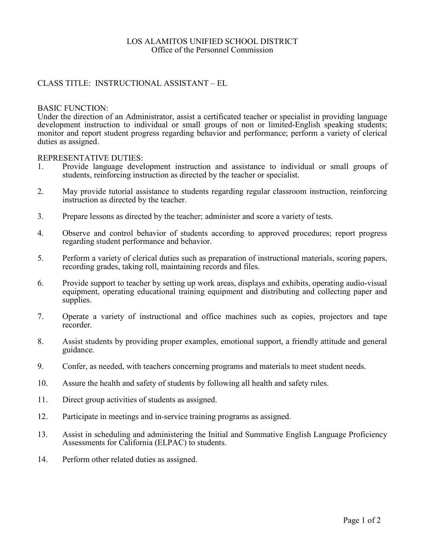# LOS ALAMITOS UNIFIED SCHOOL DISTRICT Office of the Personnel Commission

# CLASS TITLE: INSTRUCTIONAL ASSISTANT – EL

### BASIC FUNCTION:

Under the direction of an Administrator, assist a certificated teacher or specialist in providing language development instruction to individual or small groups of non or limited-English speaking students; monitor and report student progress regarding behavior and performance; perform a variety of clerical duties as assigned.

### REPRESENTATIVE DUTIES:

- 1. Provide language development instruction and assistance to individual or small groups of students, reinforcing instruction as directed by the teacher or specialist.
- 2. May provide tutorial assistance to students regarding regular classroom instruction, reinforcing instruction as directed by the teacher.
- 3. Prepare lessons as directed by the teacher; administer and score a variety of tests.
- 4. Observe and control behavior of students according to approved procedures; report progress regarding student performance and behavior.
- 5. Perform a variety of clerical duties such as preparation of instructional materials, scoring papers, recording grades, taking roll, maintaining records and files.
- 6. Provide support to teacher by setting up work areas, displays and exhibits, operating audio-visual equipment, operating educational training equipment and distributing and collecting paper and supplies.
- 7. Operate a variety of instructional and office machines such as copies, projectors and tape recorder.
- 8. Assist students by providing proper examples, emotional support, a friendly attitude and general guidance.
- 9. Confer, as needed, with teachers concerning programs and materials to meet student needs.
- 10. Assure the health and safety of students by following all health and safety rules.
- 11. Direct group activities of students as assigned.
- 12. Participate in meetings and in-service training programs as assigned.
- 13. Assist in scheduling and administering the Initial and Summative English Language Proficiency Assessments for California (ELPAC) to students.
- 14. Perform other related duties as assigned.